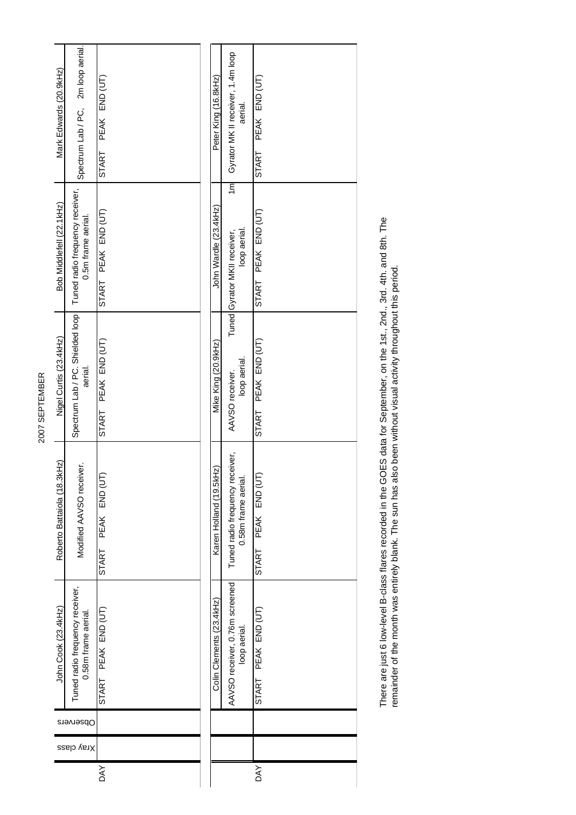| 2007 SEPTEMBER | Mark Edwards (20.9kHz)<br>Bob Middlefell (22.1kHz)<br>Nigel Curtis (23.4kHz) | Spectrum Lab / PC, 2m loop aerial.<br>Tuned radio frequency receiver,<br>0.5m frame aerial.<br>Spectrum Lab / PC. Shielded loop<br>aerial. | PEAK END (UT)<br><b>START</b><br>START PEAK END (UT)<br>PEAK END (UT)<br><b>START</b> |  | Peter King (16.8kHz)<br>John Wardle (23.4kHz)<br>Mike King (20.9kHz) | Gyrator MK II receiver, 1.4m loop<br>aerial.<br>1m<br>loop aerial.<br>Tuned Gyrator MKII receiver,<br>loop aerial.<br>AAVSO receiver. | PEAK END (UT)<br>START<br>PEAK END (UT)<br><b>START</b><br>PEAK END (UT)<br><b>START</b> |
|----------------|------------------------------------------------------------------------------|--------------------------------------------------------------------------------------------------------------------------------------------|---------------------------------------------------------------------------------------|--|----------------------------------------------------------------------|---------------------------------------------------------------------------------------------------------------------------------------|------------------------------------------------------------------------------------------|
|                | Roberto Battaiola (18.3kHz)                                                  | Modified AAVSO receiver.                                                                                                                   | PEAK END (UT<br><b>START</b>                                                          |  | Karen Holland (19.5kHz)                                              | Tuned radio frequency receiver,<br>0.58m frame aerial                                                                                 | PEAK END (UT<br><b>START</b>                                                             |
|                | John Cook (23.4kHz)                                                          | Tuned radio frequency receiver,<br>0.58m frame aerial.                                                                                     | START PEAK END (UT)                                                                   |  | Colin Clements (23.4kHz)                                             | AAVSO receiver, 0.76m screened<br>loop aerial.                                                                                        | PEAK END (UT)<br>START                                                                   |
|                | Observers                                                                    |                                                                                                                                            |                                                                                       |  |                                                                      |                                                                                                                                       |                                                                                          |
|                |                                                                              | Xray class                                                                                                                                 |                                                                                       |  |                                                                      |                                                                                                                                       |                                                                                          |
|                |                                                                              |                                                                                                                                            | <b>DAY</b>                                                                            |  |                                                                      |                                                                                                                                       | DAY                                                                                      |

There are just 6 low-level B-class flares recorded in the GOES data for September, on the 1st., 2nd., 3rd. 4th. and 8th. The<br>remainder of the month was entirely blank. The sun has also been without visual activity througho There are just 6 low-level B-class flares recorded in the GOES data for September, on the 1st., 2nd., 3rd. 4th. and 8th. The remainder of the month was entirely blank. The sun has also been without visual activity throughout this period.